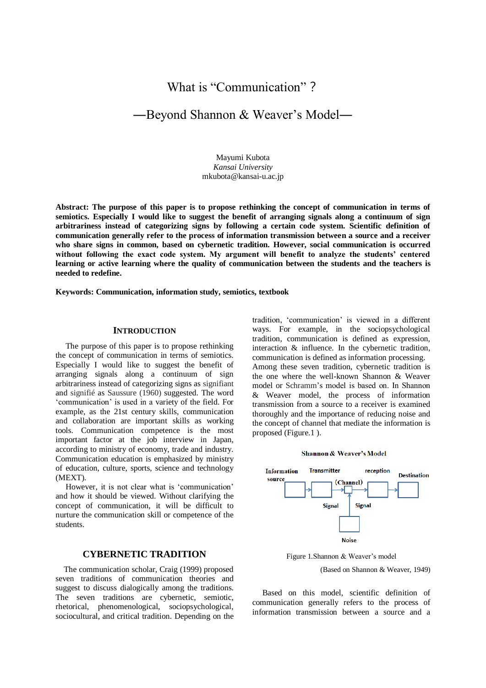# What is "Communication"?

# ―Beyond Shannon & Weaver's Model―

Mayumi Kubota *Kansai University* mkubota@kansai-u.ac.jp

**Abstract: The purpose of this paper is to propose rethinking the concept of communication in terms of semiotics. Especially I would like to suggest the benefit of arranging signals along a continuum of sign arbitrariness instead of categorizing signs by following a certain code system. Scientific definition of communication generally refer to the process of information transmission between a source and a receiver who share signs in common, based on cybernetic tradition. However, social communication is occurred without following the exact code system. My argument will benefit to analyze the students' centered learning or active learning where the quality of communication between the students and the teachers is needed to redefine.**

**Keywords: Communication, information study, semiotics, textbook**

## **INTRODUCTION**

The purpose of this paper is to propose rethinking the concept of communication in terms of semiotics. Especially I would like to suggest the benefit of arranging signals along a continuum of sign arbitrariness instead of categorizing signs as signifiant and signifié as Saussure (1960) suggested. The word 'communication' is used in a variety of the field. For example, as the 21st century skills, communication and collaboration are important skills as working tools. Communication competence is the most important factor at the job interview in Japan, according to ministry of economy, trade and industry. Communication education is emphasized by ministry of education, culture, sports, science and technology (MEXT).

However, it is not clear what is 'communication' and how it should be viewed. Without clarifying the concept of communication, it will be difficult to nurture the communication skill or competence of the students.

# **CYBERNETIC TRADITION**

The communication scholar, Craig (1999) proposed seven traditions of communication theories and suggest to discuss dialogically among the traditions. The seven traditions are cybernetic, semiotic, rhetorical, phenomenological, sociopsychological, sociocultural, and critical tradition. Depending on the

tradition, 'communication' is viewed in a different ways. For example, in the sociopsychological tradition, communication is defined as expression, interaction & influence. In the cybernetic tradition, communication is defined as information processing. Among these seven tradition, cybernetic tradition is the one where the well-known Shannon & Weaver model or Schramm's model is based on. In Shannon & Weaver model, the process of information transmission from a source to a receiver is examined thoroughly and the importance of reducing noise and the concept of channel that mediate the information is proposed (Figure.1 ).

#### Shannon & Weaver's Model



Figure 1.Shannon & Weaver's model

(Based on Shannon & Weaver, 1949)

Based on this model, scientific definition of communication generally refers to the process of information transmission between a source and a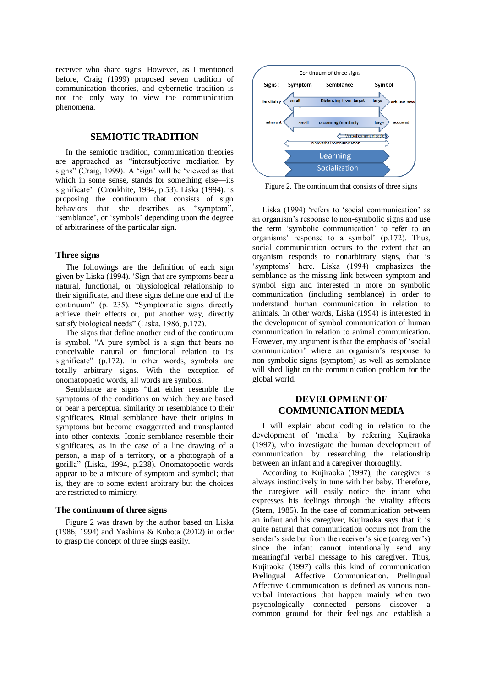receiver who share signs. However, as I mentioned before, Craig (1999) proposed seven tradition of communication theories, and cybernetic tradition is not the only way to view the communication phenomena.

# **SEMIOTIC TRADITION**

In the semiotic tradition, communication theories are approached as "intersubjective mediation by signs" (Craig, 1999). A 'sign' will be 'viewed as that which in some sense, stands for something else—its significate' (Cronkhite, 1984, p.53). Liska (1994). is proposing the continuum that consists of sign behaviors that she describes as "symptom", "semblance', or 'symbols' depending upon the degree of arbitrariness of the particular sign.

## **Three signs**

The followings are the definition of each sign given by Liska (1994). 'Sign that are symptoms bear a natural, functional, or physiological relationship to their significate, and these signs define one end of the continuum" (p. 235). "Symptomatic signs directly achieve their effects or, put another way, directly satisfy biological needs" (Liska, 1986, p.172).

The signs that define another end of the continuum is symbol. "A pure symbol is a sign that bears no conceivable natural or functional relation to its significate" (p.172). In other words, symbols are totally arbitrary signs. With the exception of onomatopoetic words, all words are symbols.

Semblance are signs "that either resemble the symptoms of the conditions on which they are based or bear a perceptual similarity or resemblance to their significates. Ritual semblance have their origins in symptoms but become exaggerated and transplanted into other contexts. Iconic semblance resemble their significates, as in the case of a line drawing of a person, a map of a territory, or a photograph of a gorilla" (Liska, 1994, p.238). Onomatopoetic words appear to be a mixture of symptom and symbol; that is, they are to some extent arbitrary but the choices are restricted to mimicry.

### **The continuum of three signs**

Figure 2 was drawn by the author based on Liska (1986; 1994) and Yashima & Kubota (2012) in order to grasp the concept of three sings easily.



Figure 2. The continuum that consists of three signs

Liska (1994) 'refers to 'social communication' as an organism's response to non-symbolic signs and use the term 'symbolic communication' to refer to an organisms' response to a symbol'  $(p.172)$ . Thus, social communication occurs to the extent that an organism responds to nonarbitrary signs, that is 'symptoms' here. Liska (1994) emphasizes the semblance as the missing link between symptom and symbol sign and interested in more on symbolic communication (including semblance) in order to understand human communication in relation to animals. In other words, Liska (1994) is interested in the development of symbol communication of human communication in relation to animal communication. However, my argument is that the emphasis of 'social communication' where an organism's response to non-symbolic signs (symptom) as well as semblance will shed light on the communication problem for the global world.

# **DEVELOPMENT OF COMMUNICATION MEDIA**

I will explain about coding in relation to the development of 'media' by referring Kujiraoka (1997), who investigate the human development of communication by researching the relationship between an infant and a caregiver thoroughly.

According to Kujiraoka (1997), the caregiver is always instinctively in tune with her baby. Therefore, the caregiver will easily notice the infant who expresses his feelings through the vitality affects (Stern, 1985). In the case of communication between an infant and his caregiver, Kujiraoka says that it is quite natural that communication occurs not from the sender's side but from the receiver's side (caregiver's) since the infant cannot intentionally send any meaningful verbal message to his caregiver. Thus, Kujiraoka (1997) calls this kind of communication Prelingual Affective Communication. Prelingual Affective Communication is defined as various nonverbal interactions that happen mainly when two psychologically connected persons discover a common ground for their feelings and establish a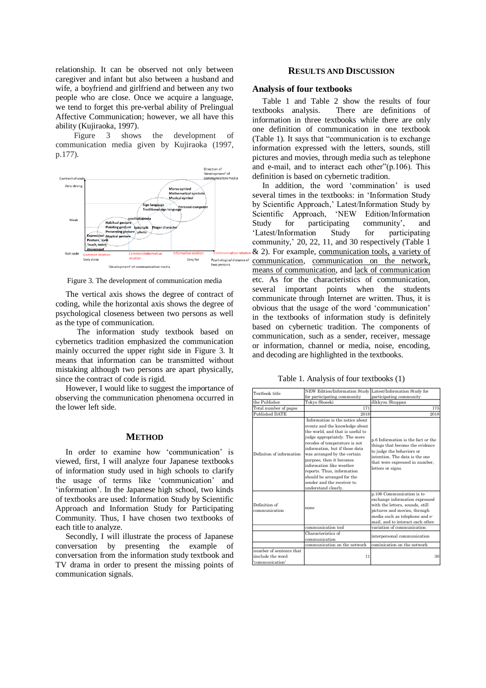relationship. It can be observed not only between caregiver and infant but also between a husband and wife, a boyfriend and girlfriend and between any two people who are close. Once we acquire a language, we tend to forget this pre-verbal ability of Prelingual Affective Communication; however, we all have this ability (Kujiraoka, 1997).

 Figure 3 shows the development of communication media given by Kujiraoka (1997, p.177).



Figure 3. The development of communication media

The vertical axis shows the degree of contract of coding, while the horizontal axis shows the degree of psychological closeness between two persons as well as the type of communication.

The information study textbook based on cybernetics tradition emphasized the communication mainly occurred the upper right side in Figure 3. It means that information can be transmitted without mistaking although two persons are apart physically, since the contract of code is rigid.

However, I would like to suggest the importance of observing the communication phenomena occurred in the lower left side.

#### **METHOD**

In order to examine how 'communication' is viewed, first, I will analyze four Japanese textbooks of information study used in high schools to clarify the usage of terms like 'communication' and 'information'. In the Japanese high school, two kinds of textbooks are used: Information Study by Scientific Approach and Information Study for Participating Community. Thus, I have chosen two textbooks of each title to analyze.

Secondly, I will illustrate the process of Japanese conversation by presenting the example of conversation from the information study textbook and TV drama in order to present the missing points of communication signals.

## **RESULTS AND DISCUSSION**

#### **Analysis of four textbooks**

Table 1 and Table 2 show the results of four textbooks analysis. There are definitions of information in three textbooks while there are only one definition of communication in one textbook (Table 1). It says that "communication is to exchange information expressed with the letters, sounds, still pictures and movies, through media such as telephone and e-mail, and to interact each other"(p.106). This definition is based on cybernetic tradition.

In addition, the word 'commination' is used several times in the textbooks: in 'Information Study by Scientific Approach,' Latest/Information Study by Scientific Approach, 'NEW Edition/Information Study for participating community', and 'Latest/Information Study for participating community,' 20, 22, 11, and 30 respectively (Table 1 & 2). For example, communication tools, a variety of communication, communication on the network, means of communication, and lack of communication etc. As for the characteristics of communication, several important points when the students communicate through Internet are written. Thus, it is obvious that the usage of the word 'communication' in the textbooks of information study is definitely based on cybernetic tradition. The components of communication, such as a sender, receiver, message or information, channel or media, noise, encoding, and decoding are highlighted in the textbooks.

Table 1. Analysis of four textbooks (1)

| Textbook title                                                  | NEW Edition/Information Study Latest/Information Study for<br>for participating community                                                                                                                                                                                                                                                                                                                         | participating community                                                                                                                                                                               |
|-----------------------------------------------------------------|-------------------------------------------------------------------------------------------------------------------------------------------------------------------------------------------------------------------------------------------------------------------------------------------------------------------------------------------------------------------------------------------------------------------|-------------------------------------------------------------------------------------------------------------------------------------------------------------------------------------------------------|
| the Publisher                                                   | Tokyo Shoseki                                                                                                                                                                                                                                                                                                                                                                                                     | Jikkyou Shuppan                                                                                                                                                                                       |
| Total number of pages                                           | 171                                                                                                                                                                                                                                                                                                                                                                                                               | 175                                                                                                                                                                                                   |
| Published DATE                                                  | 2018                                                                                                                                                                                                                                                                                                                                                                                                              | 2018                                                                                                                                                                                                  |
| Definiton of information                                        | Information is the notice about<br>events and the knowledge about<br>the world, and that is useful to<br>judge appropriately. The mere<br>recodes of temperature is not<br>information, but if those data<br>was arranged by the certain<br>purpose, then it becomes<br>information like weather<br>reports. Thus, information<br>should be arranged for the<br>sender and the receiver to<br>understand clearly. | p.6 Information is the fact or the<br>things that become the evidence<br>to judge the behaviors or<br>intention. The data is the one<br>that were expressed in number,<br>letters or signs.           |
| Definition of<br>communication                                  | none                                                                                                                                                                                                                                                                                                                                                                                                              | p.106 Communication is to<br>exchange information expressed<br>with the letters, sounds, still<br>pictures and movies, through<br>media such as telephone and e-<br>mail, and to interact each other. |
|                                                                 | communication tool                                                                                                                                                                                                                                                                                                                                                                                                | variation of communication                                                                                                                                                                            |
|                                                                 | Characteristics of<br>communication                                                                                                                                                                                                                                                                                                                                                                               | interpersonal communication                                                                                                                                                                           |
|                                                                 | communication on the network                                                                                                                                                                                                                                                                                                                                                                                      | cominication on the network                                                                                                                                                                           |
| number of sentence that<br>jinclude the word<br>'communication' | 11                                                                                                                                                                                                                                                                                                                                                                                                                | 30                                                                                                                                                                                                    |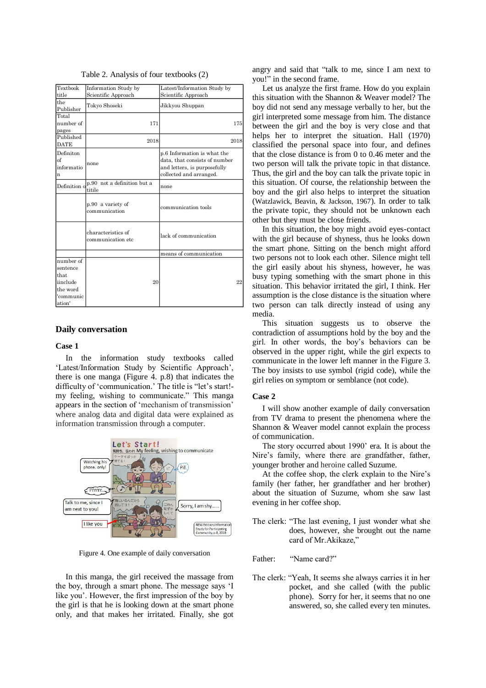| Textbook                                                                     | Information Study by                    | Latest/Information Study by                                                                                             |
|------------------------------------------------------------------------------|-----------------------------------------|-------------------------------------------------------------------------------------------------------------------------|
| title                                                                        | Scientific Approach                     | Scientific Approach                                                                                                     |
| the<br>Publisher                                                             | Tokyo Shoseki                           | Jikkyou Shuppan                                                                                                         |
| Total<br>number of<br>pages                                                  | 171                                     | 175                                                                                                                     |
| Published<br><b>DATE</b>                                                     | 2018                                    | 2018                                                                                                                    |
| Definiton<br>$\sigma$<br>informatio<br>n                                     | none                                    | p.6 Information is what the<br>data, that consists of number<br>and letters, is purposefully<br>collected and arranged. |
| Definition o                                                                 | p.90 not a definition but a<br>titile   | none                                                                                                                    |
|                                                                              | p.90 a variety of<br>communication      | communication tools                                                                                                     |
|                                                                              | characteristics of<br>communication etc | lack of communication                                                                                                   |
|                                                                              |                                         | means of communication                                                                                                  |
| number of<br>sentence<br>that<br>iinclude<br>the word<br>'communic<br>ation' | 20                                      | 22                                                                                                                      |

Table 2. Analysis of four textbooks (2)

#### **Daily conversation**

#### **Case 1**

In the information study textbooks called 'Latest/Information Study by Scientific Approach', there is one manga (Figure 4. p.8) that indicates the difficulty of 'communication.' The title is "let's start! my feeling, wishing to communicate." This manga appears in the section of 'mechanism of transmission' where analog data and digital data were explained as information transmission through a computer.



Figure 4. One example of daily conversation

In this manga, the girl received the massage from the boy, through a smart phone. The message says 'I like you'. However, the first impression of the boy by the girl is that he is looking down at the smart phone only, and that makes her irritated. Finally, she got

angry and said that "talk to me, since I am next to you!" in the second frame.

Let us analyze the first frame. How do you explain this situation with the Shannon & Weaver model? The boy did not send any message verbally to her, but the girl interpreted some message from him. The distance between the girl and the boy is very close and that helps her to interpret the situation. Hall (1970) classified the personal space into four, and defines that the close distance is from 0 to 0.46 meter and the two person will talk the private topic in that distance. Thus, the girl and the boy can talk the private topic in this situation. Of course, the relationship between the boy and the girl also helps to interpret the situation (Watzlawick, Beavin, & Jackson, 1967). In order to talk the private topic, they should not be unknown each other but they must be close friends.

In this situation, the boy might avoid eyes-contact with the girl because of shyness, thus he looks down the smart phone. Sitting on the bench might afford two persons not to look each other. Silence might tell the girl easily about his shyness, however, he was busy typing something with the smart phone in this situation. This behavior irritated the girl, I think. Her assumption is the close distance is the situation where two person can talk directly instead of using any media.

This situation suggests us to observe the contradiction of assumptions hold by the boy and the girl. In other words, the boy's behaviors can be observed in the upper right, while the girl expects to communicate in the lower left manner in the Figure 3. The boy insists to use symbol (rigid code), while the girl relies on symptom or semblance (not code).

#### **Case 2**

I will show another example of daily conversation from TV drama to present the phenomena where the Shannon & Weaver model cannot explain the process of communication.

The story occurred about 1990' era. It is about the Nire's family, where there are grandfather, father, younger brother and heroine called Suzume.

At the coffee shop, the clerk explain to the Nire's family (her father, her grandfather and her brother) about the situation of Suzume, whom she saw last evening in her coffee shop.

- The clerk: "The last evening, I just wonder what she does, however, she brought out the name card of Mr.Akikaze,"
- Father: "Name card?"
- The clerk: "Yeah, It seems she always carries it in her pocket, and she called (with the public phone). Sorry for her, it seems that no one answered, so, she called every ten minutes.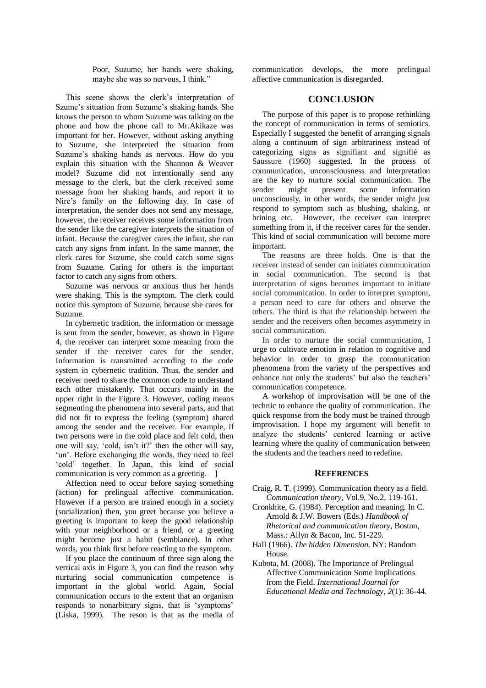Poor, Suzume, her hands were shaking, maybe she was so nervous, I think."

This scene shows the clerk's interpretation of Szume's situation from Suzume's shaking hands. She knows the person to whom Suzume was talking on the phone and how the phone call to Mr.Akikaze was important for her. However, without asking anything to Suzume, she interpreted the situation from Suzume's shaking hands as nervous. How do you explain this situation with the Shannon & Weaver model? Suzume did not intentionally send any message to the clerk, but the clerk received some message from her shaking hands, and report it to Nire's family on the following day. In case of interpretation, the sender does not send any message, however, the receiver receives some information from the sender like the caregiver interprets the situation of infant. Because the caregiver cares the infant, she can catch any signs from infant. In the same manner, the clerk cares for Suzume, she could catch some signs from Suzume. Caring for others is the important factor to catch any signs from others.

Suzume was nervous or anxious thus her hands were shaking. This is the symptom. The clerk could notice this symptom of Suzume, because she cares for Suzume.

In cybernetic tradition, the information or message is sent from the sender, however, as shown in Figure 4, the receiver can interpret some meaning from the sender if the receiver cares for the sender. Information is transmitted according to the code system in cybernetic tradition. Thus, the sender and receiver need to share the common code to understand each other mistakenly. That occurs mainly in the upper right in the Figure 3. However, coding means segmenting the phenomena into several parts, and that did not fit to express the feeling (symptom) shared among the sender and the receiver. For example, if two persons were in the cold place and felt cold, then one will say, 'cold, isn't it?' then the other will say, 'un'. Before exchanging the words, they need to feel 'cold' together. In Japan, this kind of social communication is very common as a greeting. ]

Affection need to occur before saying something (action) for prelingual affective communication. However if a person are trained enough in a society (socialization) then, you greet because you believe a greeting is important to keep the good relationship with your neighborhood or a friend, or a greeting might become just a habit (semblance). In other words, you think first before reacting to the symptom.

If you place the continuum of three sign along the vertical axis in Figure 3, you can find the reason why nurturing social communication competence is important in the global world. Again, Social communication occurs to the extent that an organism responds to nonarbitrary signs, that is 'symptoms' (Liska, 1999). The reson is that as the media of communication develops, the more prelingual affective communication is disregarded.

## **CONCLUSION**

The purpose of this paper is to propose rethinking the concept of communication in terms of semiotics. Especially I suggested the benefit of arranging signals along a continuum of sign arbitrariness instead of categorizing signs as signifiant and signifié as Saussure (1960) suggested. In the process of communication, unconsciousness and interpretation are the key to nurture social communication. The sender might present some information unconsciously, in other words, the sender might just respond to symptom such as blushing, shaking, or brining etc. However, the receiver can interpret something from it, if the receiver cares for the sender. This kind of social communication will become more important.

The reasons are three holds. One is that the receiver instead of sender can initiates communication in social communication. The second is that interpretation of signs becomes important to initiate social communication. In order to interpret symptom, a person need to care for others and observe the others. The third is that the relationship between the sender and the receivers often becomes asymmetry in social communication.

In order to nurture the social communication, I urge to cultivate emotion in relation to cognitive and behavior in order to grasp the communication phenomena from the variety of the perspectives and enhance not only the students' but also the teachers' communication competence.

A workshop of improvisation will be one of the technic to enhance the quality of communication. The quick response from the body must be trained through improvisation. I hope my argument will benefit to analyze the students' centered learning or active learning where the quality of communication between the students and the teachers need to redefine.

#### **REFERENCES**

- Craig, R. T. (1999). Communication theory as a field. *Communication theory*, Vol.9, No.2, 119-161.
- Cronkhite, G. (1984). Perception and meaning. In C. Arnold & J.W. Bowers (Eds.) *Handbook of Rhetorical and communication theory*, Boston, Mass.: Allyn & Bacon, Inc. 51-229.
- Hall (1966). *The hidden Dimension*. NY: Random House.
- Kubota, M. (2008). The Importance of Prelingual Affective Communication Some Implications from the Field. *International Journal for Educational Media and Technology*, *2*(1): 36-44.